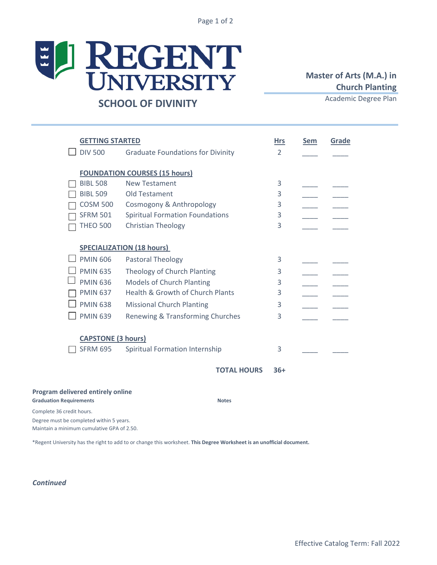Page 1 of 2

## E REGENT **SCHOOL OF DIVINITY**

## **Master of Arts (M.A.) in Church Planting**

Academic Degree Plan

|                                   | <b>GETTING STARTED</b>                              |                                          |                    | <b>Hrs</b> | <b>Sem</b> | Grade |
|-----------------------------------|-----------------------------------------------------|------------------------------------------|--------------------|------------|------------|-------|
|                                   | <b>DIV 500</b>                                      | <b>Graduate Foundations for Divinity</b> |                    | 2          |            |       |
|                                   | <b>FOUNDATION COURSES (15 hours)</b>                |                                          |                    |            |            |       |
|                                   | <b>BIBL 508</b>                                     | <b>New Testament</b>                     |                    | 3          |            |       |
|                                   | <b>BIBL 509</b>                                     | <b>Old Testament</b>                     |                    | 3          |            |       |
|                                   | <b>COSM 500</b>                                     | Cosmogony & Anthropology                 |                    | 3          |            |       |
|                                   | <b>SFRM 501</b>                                     | <b>Spiritual Formation Foundations</b>   |                    | 3          |            |       |
|                                   | <b>THEO 500</b>                                     | Christian Theology                       |                    | 3          |            |       |
|                                   | <b>SPECIALIZATION (18 hours)</b>                    |                                          |                    |            |            |       |
|                                   | <b>PMIN 606</b>                                     | Pastoral Theology                        |                    | 3          |            |       |
|                                   | <b>PMIN 635</b>                                     | Theology of Church Planting              |                    | 3          |            |       |
|                                   | <b>PMIN 636</b>                                     | <b>Models of Church Planting</b>         |                    | 3          |            |       |
|                                   | <b>PMIN 637</b>                                     | Health & Growth of Church Plants         |                    | 3          |            |       |
|                                   | <b>PMIN 638</b><br><b>Missional Church Planting</b> |                                          | 3                  |            |            |       |
|                                   | <b>PMIN 639</b>                                     | Renewing & Transforming Churches         |                    | 3          |            |       |
| <b>CAPSTONE (3 hours)</b>         |                                                     |                                          |                    |            |            |       |
|                                   | <b>SFRM 695</b>                                     | <b>Spiritual Formation Internship</b>    |                    | 3          |            |       |
|                                   |                                                     |                                          | <b>TOTAL HOURS</b> | $36+$      |            |       |
| Program delivered entirely online |                                                     |                                          |                    |            |            |       |
| <b>Graduation Requirements</b>    |                                                     |                                          | <b>Notes</b>       |            |            |       |
| Complete 36 credit hours.         |                                                     |                                          |                    |            |            |       |

Degree must be completed within 5 years. Maintain a minimum cumulative GPA of 2.50.

\*Regent University has the right to add to or change this worksheet. **This Degree Worksheet is an unofficial document.**

*Continued*